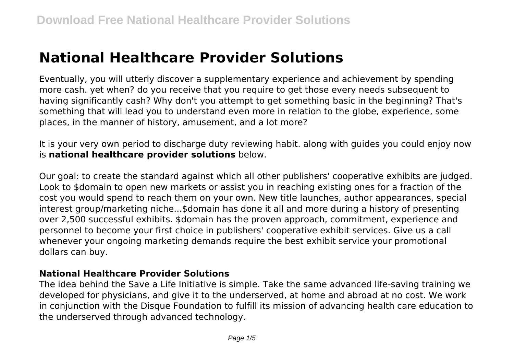# **National Healthcare Provider Solutions**

Eventually, you will utterly discover a supplementary experience and achievement by spending more cash. yet when? do you receive that you require to get those every needs subsequent to having significantly cash? Why don't you attempt to get something basic in the beginning? That's something that will lead you to understand even more in relation to the globe, experience, some places, in the manner of history, amusement, and a lot more?

It is your very own period to discharge duty reviewing habit. along with guides you could enjoy now is **national healthcare provider solutions** below.

Our goal: to create the standard against which all other publishers' cooperative exhibits are judged. Look to \$domain to open new markets or assist you in reaching existing ones for a fraction of the cost you would spend to reach them on your own. New title launches, author appearances, special interest group/marketing niche...\$domain has done it all and more during a history of presenting over 2,500 successful exhibits. \$domain has the proven approach, commitment, experience and personnel to become your first choice in publishers' cooperative exhibit services. Give us a call whenever your ongoing marketing demands require the best exhibit service your promotional dollars can buy.

#### **National Healthcare Provider Solutions**

The idea behind the Save a Life Initiative is simple. Take the same advanced life-saving training we developed for physicians, and give it to the underserved, at home and abroad at no cost. We work in conjunction with the Disque Foundation to fulfill its mission of advancing health care education to the underserved through advanced technology.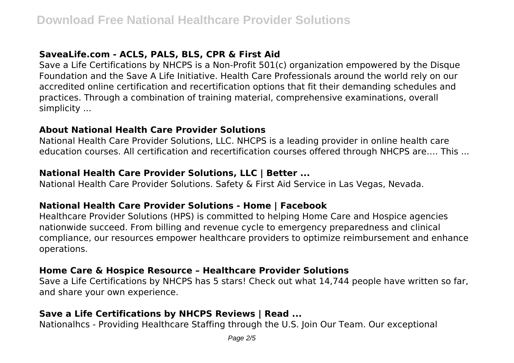# **SaveaLife.com - ACLS, PALS, BLS, CPR & First Aid**

Save a Life Certifications by NHCPS is a Non-Profit 501(c) organization empowered by the Disque Foundation and the Save A Life Initiative. Health Care Professionals around the world rely on our accredited online certification and recertification options that fit their demanding schedules and practices. Through a combination of training material, comprehensive examinations, overall simplicity ...

#### **About National Health Care Provider Solutions**

National Health Care Provider Solutions, LLC. NHCPS is a leading provider in online health care education courses. All certification and recertification courses offered through NHCPS are…. This ...

## **National Health Care Provider Solutions, LLC | Better ...**

National Health Care Provider Solutions. Safety & First Aid Service in Las Vegas, Nevada.

#### **National Health Care Provider Solutions - Home | Facebook**

Healthcare Provider Solutions (HPS) is committed to helping Home Care and Hospice agencies nationwide succeed. From billing and revenue cycle to emergency preparedness and clinical compliance, our resources empower healthcare providers to optimize reimbursement and enhance operations.

#### **Home Care & Hospice Resource – Healthcare Provider Solutions**

Save a Life Certifications by NHCPS has 5 stars! Check out what 14,744 people have written so far, and share your own experience.

## **Save a Life Certifications by NHCPS Reviews | Read ...**

Nationalhcs - Providing Healthcare Staffing through the U.S. Join Our Team. Our exceptional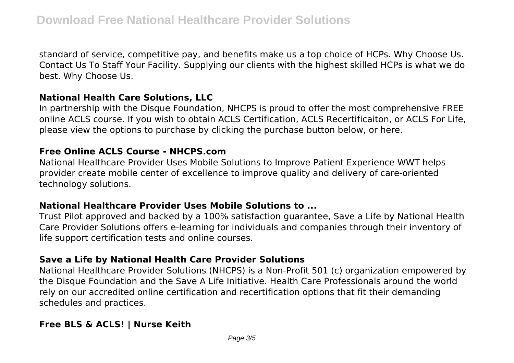standard of service, competitive pay, and benefits make us a top choice of HCPs. Why Choose Us. Contact Us To Staff Your Facility. Supplying our clients with the highest skilled HCPs is what we do best. Why Choose Us.

#### **National Health Care Solutions, LLC**

In partnership with the Disque Foundation, NHCPS is proud to offer the most comprehensive FREE online ACLS course. If you wish to obtain ACLS Certification, ACLS Recertificaiton, or ACLS For Life, please view the options to purchase by clicking the purchase button below, or here.

#### **Free Online ACLS Course - NHCPS.com**

National Healthcare Provider Uses Mobile Solutions to Improve Patient Experience WWT helps provider create mobile center of excellence to improve quality and delivery of care-oriented technology solutions.

#### **National Healthcare Provider Uses Mobile Solutions to ...**

Trust Pilot approved and backed by a 100% satisfaction guarantee, Save a Life by National Health Care Provider Solutions offers e-learning for individuals and companies through their inventory of life support certification tests and online courses.

#### **Save a Life by National Health Care Provider Solutions**

National Healthcare Provider Solutions (NHCPS) is a Non-Profit 501 (c) organization empowered by the Disque Foundation and the Save A Life Initiative. Health Care Professionals around the world rely on our accredited online certification and recertification options that fit their demanding schedules and practices.

## **Free BLS & ACLS! | Nurse Keith**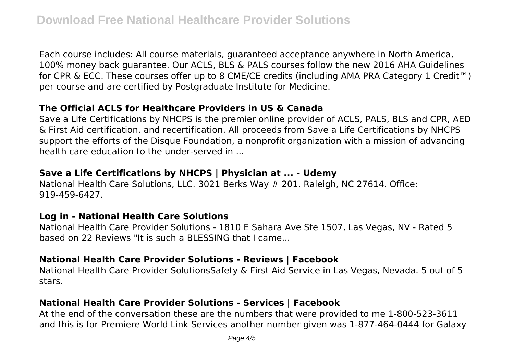Each course includes: All course materials, guaranteed acceptance anywhere in North America, 100% money back guarantee. Our ACLS, BLS & PALS courses follow the new 2016 AHA Guidelines for CPR & ECC. These courses offer up to 8 CME/CE credits (including AMA PRA Category 1 Credit™) per course and are certified by Postgraduate Institute for Medicine.

# **The Official ACLS for Healthcare Providers in US & Canada**

Save a Life Certifications by NHCPS is the premier online provider of ACLS, PALS, BLS and CPR, AED & First Aid certification, and recertification. All proceeds from Save a Life Certifications by NHCPS support the efforts of the Disque Foundation, a nonprofit organization with a mission of advancing health care education to the under-served in ...

## **Save a Life Certifications by NHCPS | Physician at ... - Udemy**

National Health Care Solutions, LLC. 3021 Berks Way # 201. Raleigh, NC 27614. Office: 919-459-6427.

## **Log in - National Health Care Solutions**

National Health Care Provider Solutions - 1810 E Sahara Ave Ste 1507, Las Vegas, NV - Rated 5 based on 22 Reviews "It is such a BLESSING that I came...

#### **National Health Care Provider Solutions - Reviews | Facebook**

National Health Care Provider SolutionsSafety & First Aid Service in Las Vegas, Nevada. 5 out of 5 stars.

## **National Health Care Provider Solutions - Services | Facebook**

At the end of the conversation these are the numbers that were provided to me 1-800-523-3611 and this is for Premiere World Link Services another number given was 1-877-464-0444 for Galaxy